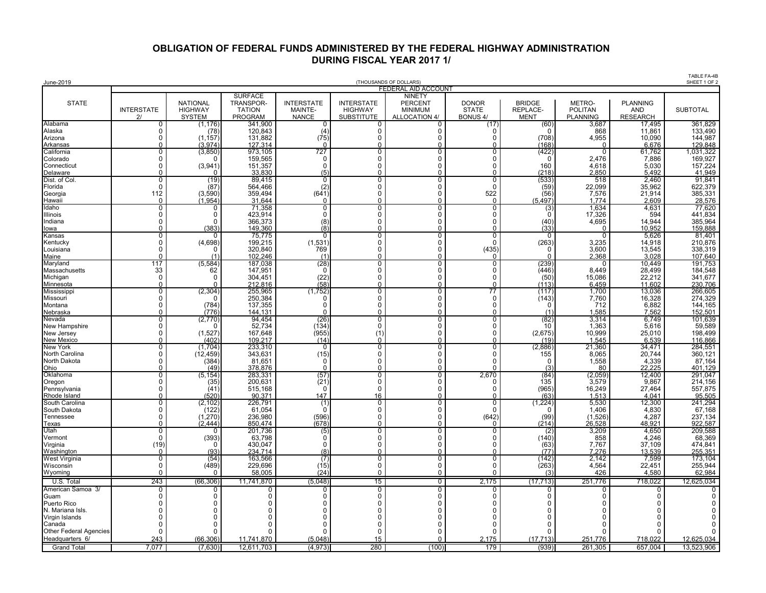## **OBLIGATION OF FEDERAL FUNDS ADMINISTERED BY THE FEDERAL HIGHWAY ADMINISTRATION DURING FISCAL YEAR 2017 1/**

| June-2019                               |                            |                                                    |                                                                       |                                              |                                                          | (THOUSANDS OF DOLLARS)                                             |                                                 |                                          |                                             |                                                  | TABLE FA-4B<br>SHEET 1 OF 2 |
|-----------------------------------------|----------------------------|----------------------------------------------------|-----------------------------------------------------------------------|----------------------------------------------|----------------------------------------------------------|--------------------------------------------------------------------|-------------------------------------------------|------------------------------------------|---------------------------------------------|--------------------------------------------------|-----------------------------|
|                                         |                            |                                                    |                                                                       |                                              |                                                          | <b>FEDERAL AID ACCOUNT</b>                                         |                                                 |                                          |                                             |                                                  |                             |
| <b>STATE</b>                            | <b>INTERSTATE</b><br>2l    | <b>NATIONAL</b><br><b>HIGHWAY</b><br><b>SYSTEM</b> | <b>SURFACE</b><br><b>TRANSPOR-</b><br><b>TATION</b><br><b>PROGRAM</b> | <b>INTERSTATE</b><br>MAINTE-<br><b>NANCE</b> | <b>INTERSTATE</b><br><b>HIGHWAY</b><br><b>SUBSTITUTE</b> | <b>NINETY</b><br><b>PERCENT</b><br><b>MINIMUM</b><br>ALLOCATION 4/ | <b>DONOR</b><br><b>STATE</b><br><b>BONUS 4/</b> | <b>BRIDGE</b><br>REPLACE-<br><b>MENT</b> | METRO-<br><b>POLITAN</b><br><b>PLANNING</b> | <b>PLANNING</b><br><b>AND</b><br><b>RESEARCH</b> | <b>SUBTOTAL</b>             |
| Alabama<br>Alaska                       | 0<br>0                     | (1,176)<br>(78)                                    | 341,900                                                               | 0                                            | <sup>0</sup>                                             | 0                                                                  | (17)<br>$\Omega$                                | (60)<br>$\Omega$                         | 3,687                                       | 17,495<br>11,861                                 | 361,829<br>133,490          |
| Arizona                                 | $\Omega$                   | (1, 157)                                           | 120,843<br>131,882                                                    | (4)<br>(75)                                  | 0<br>$\Omega$                                            | 0<br>$\Omega$                                                      | $\Omega$                                        | (708)                                    | 868<br>4,955                                | 10,090                                           |                             |
| Arkansas                                | U                          | (3.974)                                            | 127,314                                                               | $\Omega$                                     | $\Omega$                                                 | U                                                                  | $\Omega$                                        | (168)                                    | ſ                                           | 6,676                                            | 144,987<br>129,848          |
| California<br>Colorado                  | 0<br>$\Omega$              | (3,850)<br>n                                       | 973,105<br>159,565                                                    | 727<br>$\Omega$                              | 0<br>$\Omega$                                            | 0<br>0                                                             | 0<br>0                                          | (422)<br>$\Omega$                        | 0<br>2.476                                  | 61,762<br>7,886                                  | 1,031,322<br>169,927        |
| Connecticut                             | $\Omega$                   | (3,941)                                            | 151,357                                                               | 0                                            | $\Omega$                                                 | $\mathbf 0$                                                        | 0                                               | 160                                      | 4,618                                       | 5,030                                            | 157,224                     |
| Delaware                                | O                          | <sup>n</sup>                                       | 33.830                                                                | (5)                                          | $\Omega$                                                 | $\Omega$                                                           | $\Omega$                                        | (218                                     | 2,850                                       | 5,492                                            | 41,949                      |
| Dist. of Col.<br>Florida                | 0<br>$\Omega$              | (19)<br>(87)                                       | 89,415<br>564,466                                                     | $\overline{0}$<br>(2)                        | $\overline{0}$<br>$\mathbf 0$                            | $\overline{0}$<br>$\mathbf 0$                                      | 0<br>$\mathbf 0$                                | (533)<br>(59)                            | 518<br>22,099                               | 2,460<br>35,962                                  | 91,841<br>622,379           |
| Georgia                                 | 112                        | (3,590)                                            | 359,494                                                               | (641)                                        | 0                                                        | 0                                                                  | 522                                             | (56)                                     | 7,576                                       | 21,914                                           | 385,331                     |
| Hawaii                                  | $\mathbf 0$                | (1, 954)                                           | 31,644                                                                | $\mathbf 0$                                  | 0                                                        | 0                                                                  | $\Omega$                                        | (5, 497)                                 | 1,774                                       | 2,609                                            | 28,576                      |
| Idaho<br><b>Illinois</b>                | $\overline{0}$<br>O        | 0<br>O                                             | 71,358<br>423,914                                                     | $\overline{0}$<br>$\Omega$                   | $\overline{0}$<br>$\Omega$                               | $\overline{0}$<br>0                                                | 0<br>$\Omega$                                   | (3)<br>$\Omega$                          | 1,634<br>17,326                             | 4,631<br>594                                     | 77,620<br>441,834           |
| Indiana                                 | $\Omega$                   | $\Omega$                                           | 366,373                                                               | (8)                                          | $\Omega$                                                 | 0                                                                  | 0                                               | (40)                                     | 4,695                                       | 14,944                                           | 385,964                     |
| lowa                                    | $\Omega$                   | (383)                                              | 149.360                                                               | (8)                                          | $\Omega$                                                 | $\Omega$                                                           | $\Omega$                                        | (33)                                     | $\Omega$                                    | 10.952                                           | 159,888                     |
| Kansas<br>Kentucky                      | $\Omega$<br>$\Omega$       | 0<br>(4,698)                                       | 75,775<br>199,215                                                     | 0<br>(1,531)                                 | $\overline{0}$<br>$\mathbf 0$                            | $\overline{0}$<br>$\mathbf 0$                                      | $\overline{0}$<br>$\mathbf{0}$                  | 0<br>(263)                               | 0<br>3,235                                  | 5,626                                            | 81,401                      |
| Louisiana                               | $\Omega$                   | n                                                  | 320,840                                                               | 769                                          | $\Omega$                                                 | $\Omega$                                                           | (435)                                           | $\Omega$                                 | 3,600                                       | 14,918<br>13,545                                 | 210,876<br>338,319          |
| Maine                                   | $\Omega$                   | (1)                                                | 102,246                                                               | (1)                                          | $\Omega$                                                 | $\Omega$                                                           | 0                                               | <sup>n</sup>                             | 2,368                                       | 3,028                                            | 107,640                     |
| Maryland<br>Massachusetts               | 117<br>33                  | (5,584)<br>62                                      | 187,038<br>147,951                                                    | (28)<br>$\Omega$                             | $\overline{0}$<br>$\Omega$                               | 0<br>0                                                             | 0<br>$\mathbf 0$                                | (239)<br>(446)                           | 0<br>8,449                                  | 10,449<br>28,499                                 | 191,753<br>184,548          |
| Michigan                                | $\mathbf 0$                | O                                                  | 304,451                                                               | (22)                                         | 0                                                        | $\mathbf 0$                                                        | $\Omega$                                        | (50)                                     | 15,086                                      | 22,212                                           | 341,677                     |
| Minnesota                               | $\Omega$                   |                                                    | 212,816                                                               | (58)                                         | $\Omega$                                                 | 0                                                                  | ŋ                                               | (113)                                    | 6,459                                       | 11,602                                           | 230,706                     |
| Mississippi<br>Missouri                 | 0<br>$\Omega$              | (2, 304)<br>$\Omega$                               | 255,965<br>250,384                                                    | (1,752)<br>$\mathbf 0$                       | 0<br>$\mathbf 0$                                         | $\overline{0}$<br>$\mathbf 0$                                      | 77<br>0                                         | (117<br>(143)                            | 1,700<br>7,760                              | 13,036<br>16,328                                 | 266,605                     |
| Montana                                 | $\Omega$                   | (784)                                              | 137,355                                                               | $\Omega$                                     | 0                                                        | 0                                                                  | 0                                               | 0                                        | 712                                         | 6,882                                            | 274,329<br>144,165          |
| Nebraska                                | $\Omega$                   | (776)                                              | 144.131                                                               | $\Omega$                                     | $\Omega$                                                 | $\Omega$                                                           | $\Omega$                                        | (1)                                      | 1.585                                       | 7.562                                            | 152,501                     |
| Nevada<br>New Hampshire                 | 0<br>O                     | (2,770)<br>$\Gamma$                                | 94.454<br>52,734                                                      | (26)<br>(134)                                | $\overline{0}$<br>$\Omega$                               | $\overline{0}$<br>0                                                | 0<br>$\Omega$                                   | (82)<br>10                               | 3,314<br>1,363                              | 6.749<br>5,616                                   | $\frac{101,639}{101,639}$   |
| New Jersey                              | $\Omega$                   | (1,527)                                            | 167,648                                                               | (955)                                        | (1)                                                      | 0                                                                  | 0                                               | (2,675)                                  | 10,999                                      | 25,010                                           | 198,499                     |
| <b>New Mexico</b>                       | $\Omega$                   | (402)                                              | 109.217                                                               | (14)                                         | $\Omega$                                                 | $\Omega$                                                           | 0                                               | (19)                                     | 1,545                                       | 6,539                                            | 116,866                     |
| <b>New York</b><br>North Carolina       | 0<br>$\Omega$              | (1,704)<br>(12, 459)                               | 233,310<br>343,631                                                    | 0<br>(15)                                    | 0<br>$\Omega$                                            | 0<br>0                                                             | 0<br>$\Omega$                                   | (2,886)<br>155                           | 21,360<br>8,065                             | 34,471<br>20,744                                 | 284,551                     |
| North Dakota                            | O                          | (384)                                              | 81,651                                                                | $\Omega$                                     | $\Omega$                                                 | $\Omega$                                                           | $\Omega$                                        | O                                        | 1,558                                       | 4,339                                            | 360,121<br>87,164           |
| Ohio                                    | 0                          | (49)                                               | 378,876                                                               | $\Omega$                                     | 0                                                        | 0                                                                  | $\Omega$                                        | (3)                                      | 80                                          | 22,225                                           | 401,129                     |
| Oklahoma<br>Oregon                      | 0<br>$\Omega$              | (5, 154)<br>(35)                                   | 283,331<br>200,631                                                    | (57)<br>(21)                                 | $\overline{0}$<br>0                                      | $\overline{0}$<br>0                                                | 2,670<br>0                                      | (84)<br>135                              | (2,059)<br>3,579                            | 12,400<br>9,867                                  | 291,047                     |
| Pennsylvania                            | $\Omega$                   | (41)                                               | 515,168                                                               | 0                                            | $\mathbf 0$                                              | 0                                                                  | $\Omega$                                        | (965)                                    | 16,249                                      | 27,464                                           | 214,156<br>557,875          |
| Rhode Island                            | $\Omega$                   | (520)                                              | 90,371                                                                | 147                                          | 16                                                       | 0                                                                  | $\Omega$                                        | (63)                                     | 1,513                                       | 4,041                                            | 95,505                      |
| South Carolina<br>South Dakota          | 0<br>0                     | (2, 102)<br>(122)                                  | 226,791<br>61,054                                                     | (1)<br>$\Omega$                              | $\overline{0}$<br>0                                      | 0<br>0                                                             | 0<br>$\Omega$                                   | (1,224)<br>0                             | 5,530<br>1,406                              | 12,300<br>4,830                                  | 241,294<br>67,168           |
| Tennessee                               | <sup>0</sup>               | (1, 270)                                           | 236,980                                                               | (596)                                        | 0                                                        | 0                                                                  | (642)                                           | (99)                                     | (1,526)                                     | 4,287                                            | 237,134                     |
| Texas                                   | $\Omega$                   | (2.444)<br>0                                       | 850.474<br>201,736                                                    | (678)                                        | $\Omega$<br>$\overline{0}$                               | $\Omega$<br>0                                                      | $\Omega$                                        | (214)                                    | 26,528                                      | 48.921                                           | 922,587                     |
| Utah<br>Vermont                         | 0<br>$\mathbf 0$           | (393)                                              | 63,798                                                                | (5)<br>$\Omega$                              | $\mathbf 0$                                              | 0                                                                  | 0<br>0                                          | (2)<br>(140)                             | 3,209<br>858                                | 4,650<br>4,246                                   | 209,588<br>68,369           |
| Virginia                                | (19)                       | $\Omega$                                           | 430,047                                                               | $\Omega$                                     | $\Omega$                                                 | 0                                                                  | 0                                               | (63)                                     | 7.767                                       | 37,109                                           | 474,841<br>255,351          |
| Washington                              | $\Omega$<br>$\overline{0}$ | (93)<br>(54)                                       | 234.714                                                               | (8)                                          | $\Omega$<br>$\overline{0}$                               | $\Omega$<br>$\overline{0}$                                         | $\Omega$<br>$\overline{0}$                      | (77)                                     | 7.276                                       | 13,539                                           | 173,104                     |
| West Virginia<br>Wisconsin              | $\Omega$                   | (489)                                              | 163,566<br>229.696                                                    | (7)<br>(15)                                  | $\Omega$                                                 | $\mathbf 0$                                                        | 0                                               | (142)<br>(263)                           | 2,142<br>4,564                              | 7,599<br>22,451                                  | 255,944                     |
| Wyoming                                 | $\Omega$                   | <sup>n</sup>                                       | 58,005                                                                | (24)                                         | $\Omega$                                                 | 0                                                                  | 0                                               | (3)                                      | 426                                         | 4,580                                            | 62,984                      |
| U.S. Total                              | 243                        | (66, 306)                                          | 11,741,870                                                            | (5,048)                                      | 15                                                       | 0                                                                  | 2,175                                           | (17, 713)                                | 251,776                                     | 718,022                                          | 12,625,034                  |
| American Samoa 3/                       | 0                          | 0                                                  | 0                                                                     | 0                                            | 0                                                        | $\overline{0}$                                                     | 0                                               | 0                                        | 0                                           | 0                                                | 0                           |
| Guam<br>Puerto Rico                     | O<br>C                     | 0<br>O                                             | O<br>U                                                                | $\Omega$<br>$\Omega$                         | 0<br>$\Omega$                                            | 0<br>0                                                             | 0<br>$\Omega$                                   | 0<br>$\Omega$                            | 0<br>$\mathbf 0$                            | $\Omega$<br>$\Omega$                             | 0<br>0                      |
| N. Mariana Isls.                        |                            |                                                    |                                                                       | O                                            | $\Omega$                                                 | $\Omega$                                                           | 0                                               | U                                        | $\Omega$                                    | $\Omega$                                         | $\Omega$                    |
| Virgin Islands                          | O                          | O                                                  |                                                                       | ∩                                            | <sup>n</sup>                                             | $\Omega$                                                           | <sup>0</sup>                                    | U                                        | $\Omega$                                    | $\Omega$                                         | $\Omega$                    |
| Canada<br><b>Other Federal Agencies</b> | O<br>O                     | C                                                  | ſ                                                                     | $\Omega$<br>∩                                | $\Omega$<br>$\Omega$                                     | $\Omega$<br>$\Omega$                                               | $\Omega$<br>$\Omega$                            | U                                        | $\Omega$<br>$\Omega$                        | $\Omega$<br>$\Omega$                             | $\Omega$<br>$\Omega$        |
| Headquarters 6/                         | 243                        | (66.306)                                           | 11.741.870                                                            | (5.048)                                      | 15                                                       | $\Omega$                                                           | 2,175                                           | (17.713)                                 | 251.776                                     | 718.022                                          | 12,625,034                  |
| <b>Grand Total</b>                      | 7.077                      | (7,630)                                            | 12,611,703                                                            | (4, 973)                                     | 280                                                      | (100)                                                              | 179                                             | (939)                                    | 261,305                                     | 657,004                                          | 13,523,906                  |